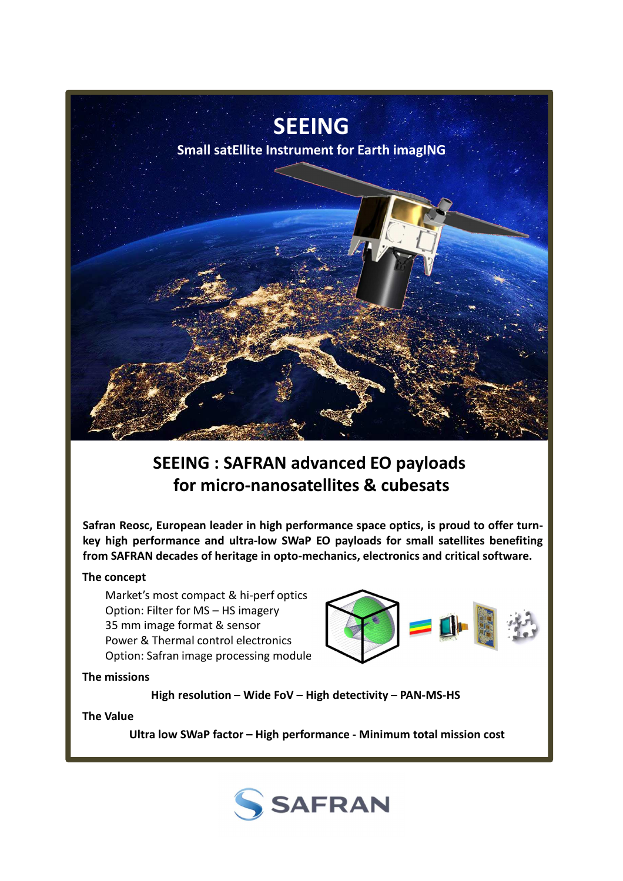

# **SEEING : SAFRAN advanced EO payloads for micro-nanosatellites & cubesats**

**Safran Reosc, European leader in high performance space optics, is proud to offer turnkey high performance and ultra-low SWaP EO payloads for small satellites benefiting from SAFRAN decades of heritage in opto-mechanics, electronics and critical software.**

### **The concept**

Market's most compact & hi-perf optics Option: Filter for MS – HS imagery 35 mm image format & sensor Power & Thermal control electronics Option: Safran image processing module



**The missions**

**High resolution – Wide FoV – High detectivity – PAN-MS-HS**

#### **The Value**

**Ultra low SWaP factor – High performance - Minimum total mission cost**